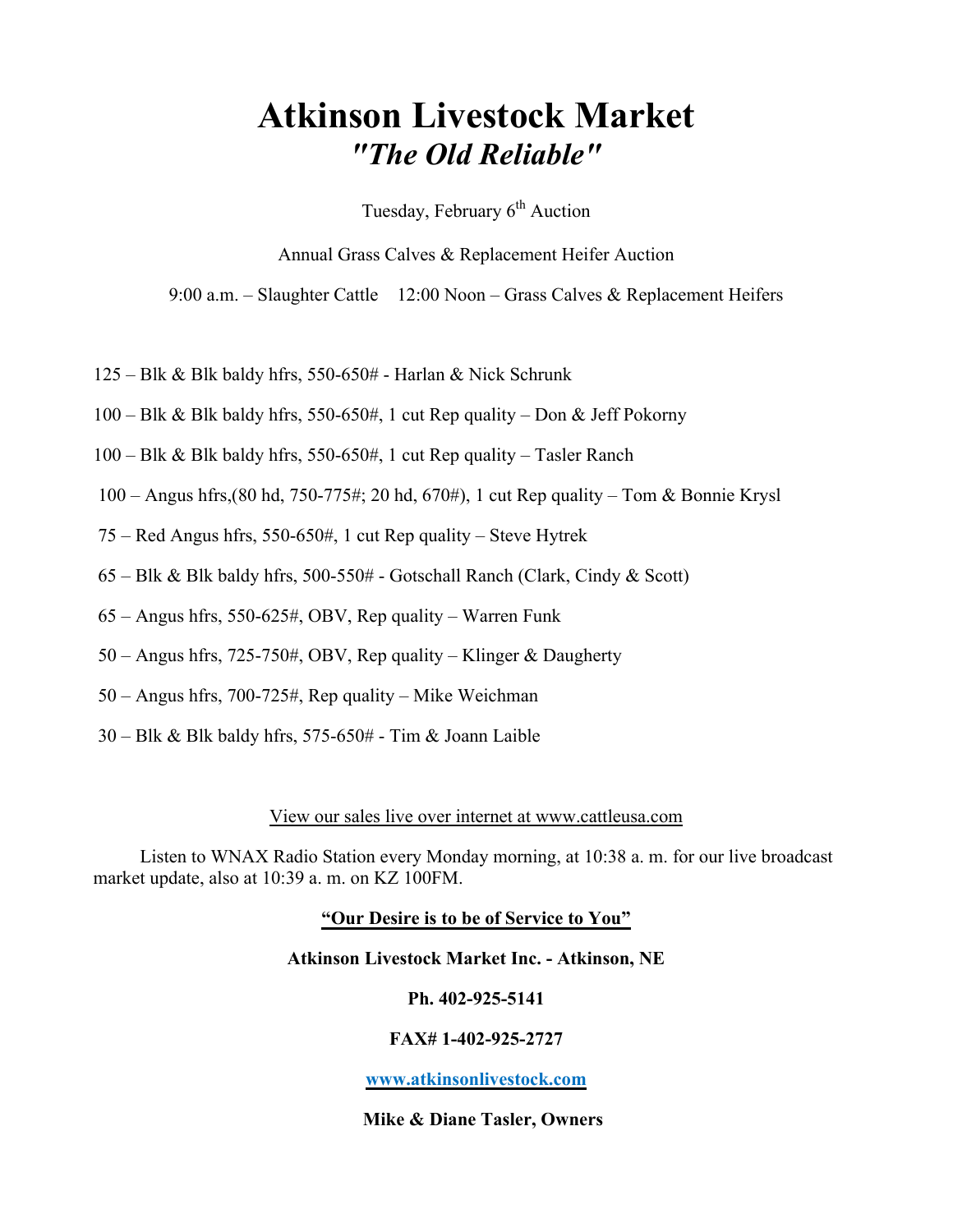# Atkinson Livestock Market "The Old Reliable"

Tuesday, February  $6<sup>th</sup>$  Auction

Annual Grass Calves & Replacement Heifer Auction

9:00 a.m. – Slaughter Cattle 12:00 Noon – Grass Calves & Replacement Heifers

- 125 Blk & Blk baldy hfrs, 550-650# Harlan & Nick Schrunk
- $100 B$ lk & Blk baldy hfrs, 550-650#, 1 cut Rep quality Don & Jeff Pokorny
- 100 Blk & Blk baldy hfrs, 550-650#, 1 cut Rep quality Tasler Ranch
- 100 Angus hfrs,(80 hd, 750-775#; 20 hd, 670#), 1 cut Rep quality Tom & Bonnie Krysl
- 75 Red Angus hfrs, 550-650#, 1 cut Rep quality Steve Hytrek
- $65 \text{Blk} \& \text{Blk}$  baldy hfrs,  $500 550$ # Gotschall Ranch (Clark, Cindy  $\&$  Scott)
- 65 Angus hfrs, 550-625#, OBV, Rep quality Warren Funk
- 50 Angus hfrs, 725-750#, OBV, Rep quality Klinger & Daugherty
- 50 Angus hfrs, 700-725#, Rep quality Mike Weichman
- 30 Blk & Blk baldy hfrs, 575-650# Tim & Joann Laible

#### View our sales live over internet at www.cattleusa.com

 Listen to WNAX Radio Station every Monday morning, at 10:38 a. m. for our live broadcast market update, also at 10:39 a. m. on KZ 100FM.

#### "Our Desire is to be of Service to You"

#### Atkinson Livestock Market Inc. - Atkinson, NE

#### Ph. 402-925-5141

#### FAX# 1-402-925-2727

#### www.atkinsonlivestock.com

#### Mike & Diane Tasler, Owners